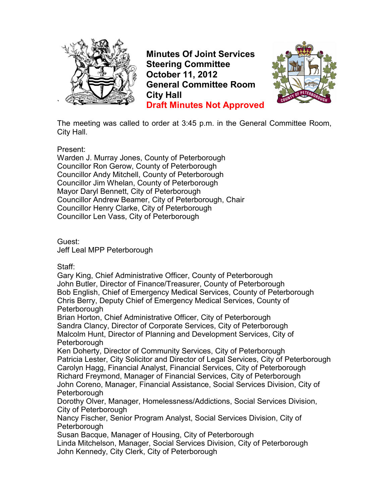

**Minutes Of Joint Services Steering Committee October 11, 2012 General Committee Room City Hall Draft Minutes Not Approved**



The meeting was called to order at 3:45 p.m. in the General Committee Room, City Hall.

Present:

Warden J. Murray Jones, County of Peterborough Councillor Ron Gerow, County of Peterborough Councillor Andy Mitchell, County of Peterborough Councillor Jim Whelan, County of Peterborough Mayor Daryl Bennett, City of Peterborough Councillor Andrew Beamer, City of Peterborough, Chair Councillor Henry Clarke, City of Peterborough Councillor Len Vass, City of Peterborough

Guest: Jeff Leal MPP Peterborough

Staff:

Gary King, Chief Administrative Officer, County of Peterborough John Butler, Director of Finance/Treasurer, County of Peterborough Bob English, Chief of Emergency Medical Services, County of Peterborough Chris Berry, Deputy Chief of Emergency Medical Services, County of **Peterborough** 

Brian Horton, Chief Administrative Officer, City of Peterborough Sandra Clancy, Director of Corporate Services, City of Peterborough Malcolm Hunt, Director of Planning and Development Services, City of **Peterborough** 

Ken Doherty, Director of Community Services, City of Peterborough Patricia Lester, City Solicitor and Director of Legal Services, City of Peterborough Carolyn Hagg, Financial Analyst, Financial Services, City of Peterborough Richard Freymond, Manager of Financial Services, City of Peterborough John Coreno, Manager, Financial Assistance, Social Services Division, City of **Peterborough** 

Dorothy Olver, Manager, Homelessness/Addictions, Social Services Division, City of Peterborough

Nancy Fischer, Senior Program Analyst, Social Services Division, City of **Peterborough** 

Susan Bacque, Manager of Housing, City of Peterborough

Linda Mitchelson, Manager, Social Services Division, City of Peterborough John Kennedy, City Clerk, City of Peterborough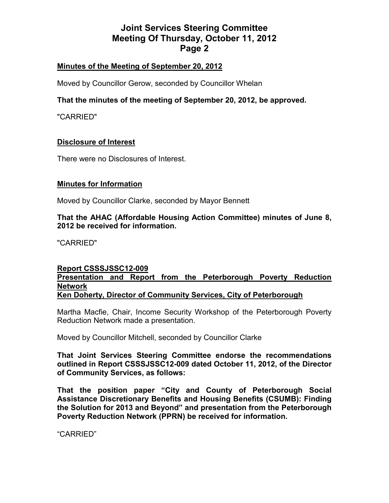## **Minutes of the Meeting of September 20, 2012**

Moved by Councillor Gerow, seconded by Councillor Whelan

## **That the minutes of the meeting of September 20, 2012, be approved.**

"CARRIED"

### **Disclosure of Interest**

There were no Disclosures of Interest.

### **Minutes for Information**

Moved by Councillor Clarke, seconded by Mayor Bennett

**That the AHAC (Affordable Housing Action Committee) minutes of June 8, 2012 be received for information.** 

"CARRIED"

### **Report CSSSJSSC12-009 Presentation and Report from the Peterborough Poverty Reduction Network Ken Doherty, Director of Community Services, City of Peterborough**

Martha Macfie, Chair, Income Security Workshop of the Peterborough Poverty Reduction Network made a presentation.

Moved by Councillor Mitchell, seconded by Councillor Clarke

**That Joint Services Steering Committee endorse the recommendations outlined in Report CSSSJSSC12-009 dated October 11, 2012, of the Director of Community Services, as follows:** 

**That the position paper "City and County of Peterborough Social Assistance Discretionary Benefits and Housing Benefits (CSUMB): Finding the Solution for 2013 and Beyond" and presentation from the Peterborough Poverty Reduction Network (PPRN) be received for information.**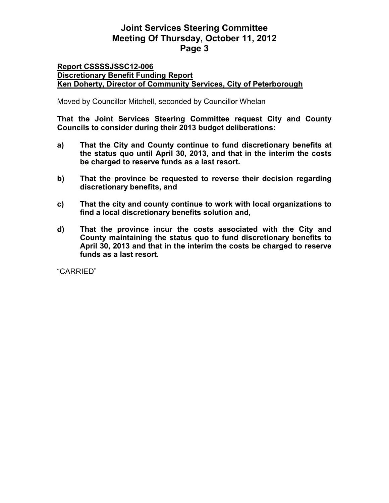### **Report CSSSSJSSC12-006 Discretionary Benefit Funding Report Ken Doherty, Director of Community Services, City of Peterborough**

Moved by Councillor Mitchell, seconded by Councillor Whelan

**That the Joint Services Steering Committee request City and County Councils to consider during their 2013 budget deliberations:** 

- **a) That the City and County continue to fund discretionary benefits at the status quo until April 30, 2013, and that in the interim the costs be charged to reserve funds as a last resort.**
- **b) That the province be requested to reverse their decision regarding discretionary benefits, and**
- **c) That the city and county continue to work with local organizations to find a local discretionary benefits solution and,**
- **d) That the province incur the costs associated with the City and County maintaining the status quo to fund discretionary benefits to April 30, 2013 and that in the interim the costs be charged to reserve funds as a last resort.**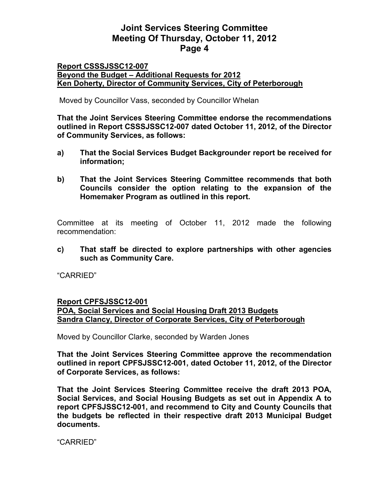### **Report CSSSJSSC12-007 Beyond the Budget – Additional Requests for 2012 Ken Doherty, Director of Community Services, City of Peterborough**

Moved by Councillor Vass, seconded by Councillor Whelan

**That the Joint Services Steering Committee endorse the recommendations outlined in Report CSSSJSSC12-007 dated October 11, 2012, of the Director of Community Services, as follows:** 

- **a) That the Social Services Budget Backgrounder report be received for information;**
- **b) That the Joint Services Steering Committee recommends that both Councils consider the option relating to the expansion of the Homemaker Program as outlined in this report.**

Committee at its meeting of October 11, 2012 made the following recommendation:

**c) That staff be directed to explore partnerships with other agencies such as Community Care.** 

"CARRIED"

## **Report CPFSJSSC12-001 POA, Social Services and Social Housing Draft 2013 Budgets Sandra Clancy, Director of Corporate Services, City of Peterborough**

Moved by Councillor Clarke, seconded by Warden Jones

**That the Joint Services Steering Committee approve the recommendation outlined in report CPFSJSSC12-001, dated October 11, 2012, of the Director of Corporate Services, as follows:** 

**That the Joint Services Steering Committee receive the draft 2013 POA, Social Services, and Social Housing Budgets as set out in Appendix A to report CPFSJSSC12-001, and recommend to City and County Councils that the budgets be reflected in their respective draft 2013 Municipal Budget documents.**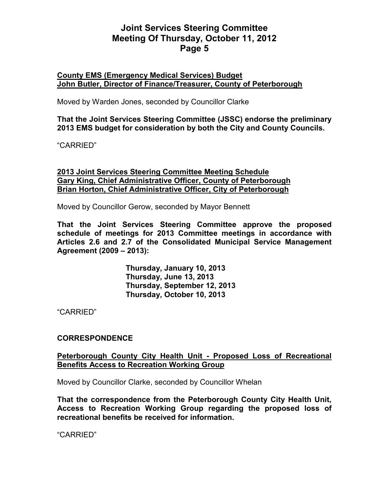### **County EMS (Emergency Medical Services) Budget John Butler, Director of Finance/Treasurer, County of Peterborough**

Moved by Warden Jones, seconded by Councillor Clarke

**That the Joint Services Steering Committee (JSSC) endorse the preliminary 2013 EMS budget for consideration by both the City and County Councils.** 

"CARRIED"

**2013 Joint Services Steering Committee Meeting Schedule Gary King, Chief Administrative Officer, County of Peterborough Brian Horton, Chief Administrative Officer, City of Peterborough**

Moved by Councillor Gerow, seconded by Mayor Bennett

**That the Joint Services Steering Committee approve the proposed schedule of meetings for 2013 Committee meetings in accordance with Articles 2.6 and 2.7 of the Consolidated Municipal Service Management Agreement (2009 – 2013):** 

> **Thursday, January 10, 2013 Thursday, June 13, 2013 Thursday, September 12, 2013 Thursday, October 10, 2013**

"CARRIED"

## **CORRESPONDENCE**

## **Peterborough County City Health Unit - Proposed Loss of Recreational Benefits Access to Recreation Working Group**

Moved by Councillor Clarke, seconded by Councillor Whelan

**That the correspondence from the Peterborough County City Health Unit, Access to Recreation Working Group regarding the proposed loss of recreational benefits be received for information.**